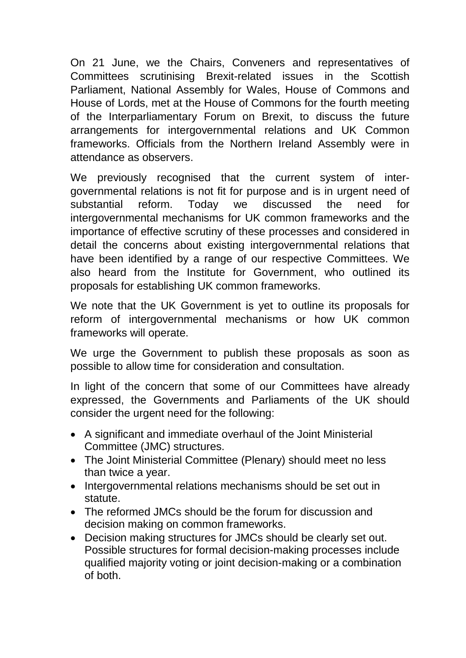On 21 June, we the Chairs, Conveners and representatives of Committees scrutinising Brexit-related issues in the Scottish Parliament, National Assembly for Wales, House of Commons and House of Lords, met at the House of Commons for the fourth meeting of the Interparliamentary Forum on Brexit, to discuss the future arrangements for intergovernmental relations and UK Common frameworks. Officials from the Northern Ireland Assembly were in attendance as observers.

We previously recognised that the current system of intergovernmental relations is not fit for purpose and is in urgent need of substantial reform. Today we discussed the need for intergovernmental mechanisms for UK common frameworks and the importance of effective scrutiny of these processes and considered in detail the concerns about existing intergovernmental relations that have been identified by a range of our respective Committees. We also heard from the Institute for Government, who outlined its proposals for establishing UK common frameworks.

We note that the UK Government is yet to outline its proposals for reform of intergovernmental mechanisms or how UK common frameworks will operate.

We urge the Government to publish these proposals as soon as possible to allow time for consideration and consultation.

In light of the concern that some of our Committees have already expressed, the Governments and Parliaments of the UK should consider the urgent need for the following:

- A significant and immediate overhaul of the Joint Ministerial Committee (JMC) structures.
- The Joint Ministerial Committee (Plenary) should meet no less than twice a year.
- Intergovernmental relations mechanisms should be set out in statute.
- The reformed JMCs should be the forum for discussion and decision making on common frameworks.
- Decision making structures for JMCs should be clearly set out. Possible structures for formal decision-making processes include qualified majority voting or joint decision-making or a combination of both.